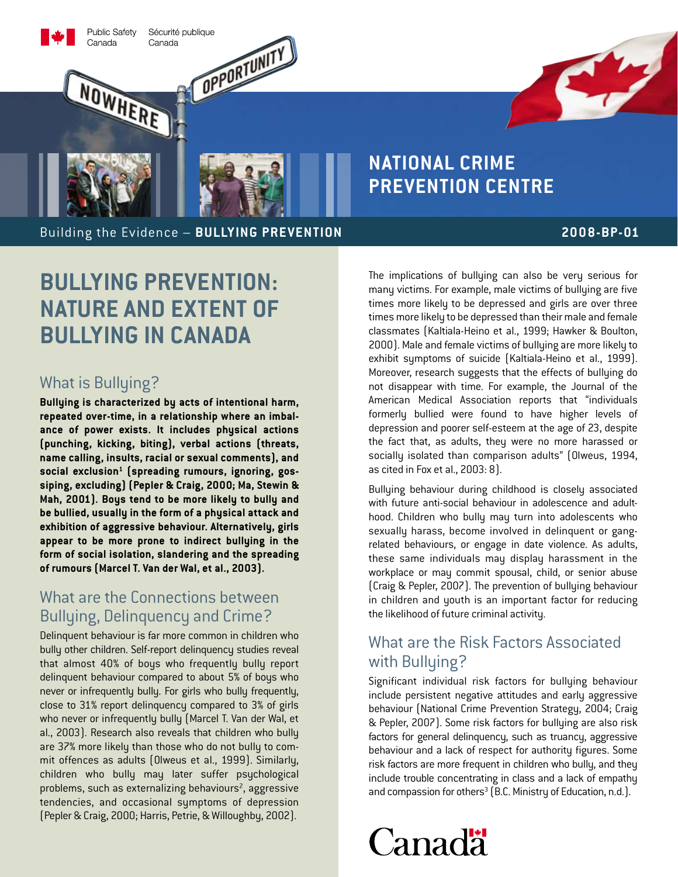

# **National Crime Prevention Centre**

Building the Evidence – **BULLYING PRE VENTION**

### **2008-BP-01**

S.

# **Bullying Prevention: Nature and Extent of Bullying in Canada**

# What is Bullying?

**Bullying is characterized by acts of intentional harm, repeated over-time, in a relationship where an imbalance of power exists. It includes physical actions (punching, kicking, biting), verbal actions (threats, name calling, insults, racial or sexual comments), and**  social exclusion<sup>1</sup> (spreading rumours, ignoring, gos**siping, excluding) (Pepler & Craig, 2000; Ma, Stewin & Mah, 2001). Boys tend to be more likely to bully and be bullied, usually in the form of a physical attack and exhibition of aggressive behaviour. Alternatively, girls appear to be more prone to indirect bullying in the form of social isolation, slandering and the spreading of rumours (Marcel T. Van der Wal, et al., 2003).**

## What are the Connections between Bullying, Delinquency and Crime?

Delinquent behaviour is far more common in children who bully other children. Self-report delinquency studies reveal that almost 40% of boys who frequently bully report delinquent behaviour compared to about 5% of boys who never or infrequently bully. For girls who bully frequently, close to 31% report delinquency compared to 3% of girls who never or infrequently bully (Marcel T. Van der Wal, et al., 2003). Research also reveals that children who bully are 37% more likely than those who do not bully to commit offences as adults (Olweus et al., 1999). Similarly, children who bully may later suffer psychological problems, such as externalizing behaviours<sup>2</sup>, aggressive tendencies, and occasional symptoms of depression (Pepler & Craig, 2000; Harris, Petrie, & Willoughby, 2002).

The implications of bullying can also be very serious for many victims. For example, male victims of bullying are five times more likely to be depressed and girls are over three times more likely to be depressed than their male and female classmates (Kaltiala-Heino et al., 1999; Hawker & Boulton, 2000). Male and female victims of bullying are more likely to exhibit symptoms of suicide (Kaltiala-Heino et al., 1999). Moreover, research suggests that the effects of bullying do not disappear with time. For example, the Journal of the American Medical Association reports that "individuals formerly bullied were found to have higher levels of depression and poorer self-esteem at the age of 23, despite the fact that, as adults, they were no more harassed or socially isolated than comparison adults" (Olweus, 1994, as cited in Fox et al., 2003: 8).

Bullying behaviour during childhood is closely associated with future anti-social behaviour in adolescence and adulthood. Children who bully may turn into adolescents who sexually harass, become involved in delinquent or gangrelated behaviours, or engage in date violence. As adults, these same individuals may display harassment in the workplace or may commit spousal, child, or senior abuse (Craig & Pepler, 2007). The prevention of bullying behaviour in children and youth is an important factor for reducing the likelihood of future criminal activity.

# What are the Risk Factors Associated with Bullying?

Significant individual risk factors for bullying behaviour include persistent negative attitudes and early aggressive behaviour (National Crime Prevention Strategy, 2004; Craig & Pepler, 2007). Some risk factors for bullying are also risk factors for general delinquency, such as truancy, aggressive behaviour and a lack of respect for authority figures. Some risk factors are more frequent in children who bully, and they include trouble concentrating in class and a lack of empathy and compassion for others<sup>3</sup> (B.C. Ministry of Education, n.d.).

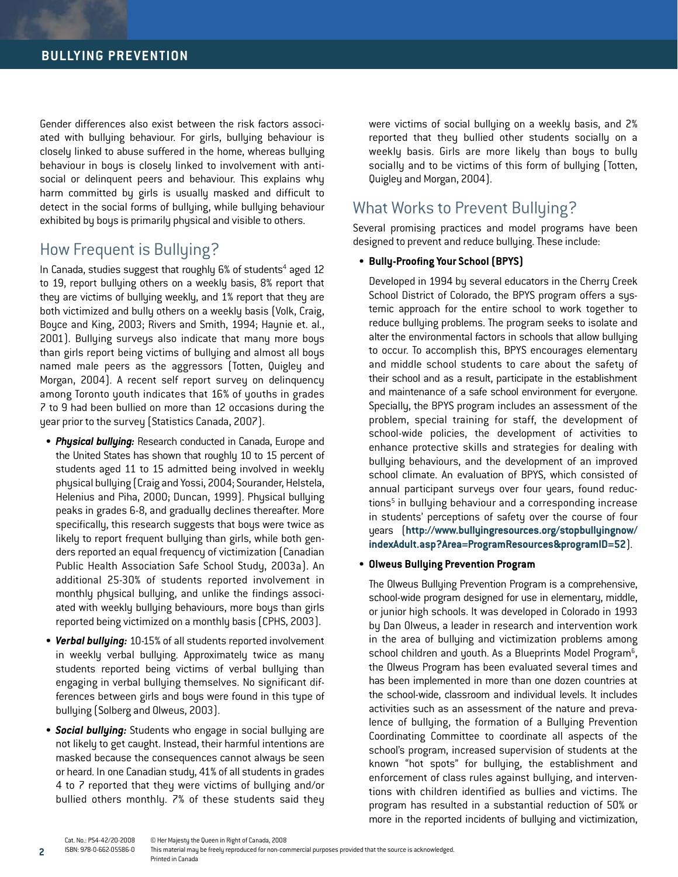Gender differences also exist between the risk factors associated with bullying behaviour. For girls, bullying behaviour is closely linked to abuse suffered in the home, whereas bullying behaviour in boys is closely linked to involvement with antisocial or delinquent peers and behaviour. This explains why harm committed by girls is usually masked and difficult to detect in the social forms of bullying, while bullying behaviour exhibited by boys is primarily physical and visible to others.

### How Frequent is Bullying?

In Canada, studies suggest that roughly 6% of students<sup>4</sup> aged 12 to 19, report bullying others on a weekly basis, 8% report that they are victims of bullying weekly, and 1% report that they are both victimized and bully others on a weekly basis (Volk, Craig, Boyce and King, 2003; Rivers and Smith, 1994; Haynie et. al., 2001). Bullying surveys also indicate that many more boys than girls report being victims of bullying and almost all boys named male peers as the aggressors (Totten, Quigley and Morgan, 2004). A recent self report survey on delinquency among Toronto youth indicates that 16% of youths in grades 7 to 9 had been bullied on more than 12 occasions during the year prior to the survey (Statistics Canada, 2007).

- **Physical bullying:** Research conducted in Canada, Europe and the United States has shown that roughly 10 to 15 percent of students aged 11 to 15 admitted being involved in weekly physical bullying (Craig and Yossi, 2004; Sourander, Helstela, Helenius and Piha, 2000; Duncan, 1999). Physical bullying peaks in grades 6-8, and gradually declines thereafter. More specifically, this research suggests that boys were twice as likely to report frequent bullying than girls, while both genders reported an equal frequency of victimization (Canadian Public Health Association Safe School Study, 2003a). An additional 25-30% of students reported involvement in monthly physical bullying, and unlike the findings associated with weekly bullying behaviours, more boys than girls reported being victimized on a monthly basis (CPHS, 2003).
- • *Verbal bullying:* 10-15% of all students reported involvement in weekly verbal bullying. Approximately twice as many students reported being victims of verbal bullying than engaging in verbal bullying themselves. No significant differences between girls and boys were found in this type of bullying (Solberg and Olweus, 2003).
- **Social bullying:** Students who engage in social bullying are not likely to get caught. Instead, their harmful intentions are masked because the consequences cannot always be seen or heard. In one Canadian study, 41% of all students in grades 4 to 7 reported that they were victims of bullying and/or bullied others monthly. 7% of these students said they

**2**

were victims of social bullying on a weekly basis, and 2% reported that they bullied other students socially on a weekly basis. Girls are more likely than boys to bully socially and to be victims of this form of bullying (Totten, Quigley and Morgan, 2004).

### What Works to Prevent Bullying?

Several promising practices and model programs have been designed to prevent and reduce bullying. These include:

#### • **Bully-Proofing Your School (BPYS)**

Developed in 1994 by several educators in the Cherry Creek School District of Colorado, the BPYS program offers a systemic approach for the entire school to work together to reduce bullying problems. The program seeks to isolate and alter the environmental factors in schools that allow bullying to occur. To accomplish this, BPYS encourages elementary and middle school students to care about the safety of their school and as a result, participate in the establishment and maintenance of a safe school environment for everyone. Specially, the BPYS program includes an assessment of the problem, special training for staff, the development of school-wide policies, the development of activities to enhance protective skills and strategies for dealing with bullying behaviours, and the development of an improved school climate. An evaluation of BPYS, which consisted of annual participant surveys over four years, found reductions<sup>5</sup> in bullying behaviour and a corresponding increase in students' perceptions of safety over the course of four years (**http://www.bullyingresources.org/stopbullyingnow/ indexAdult.asp?Area=ProgramResources&programID=52**).

#### • **Olweus Bullying Prevention Program**

The Olweus Bullying Prevention Program is a comprehensive, school-wide program designed for use in elementary, middle, or junior high schools. It was developed in Colorado in 1993 by Dan Olweus, a leader in research and intervention work in the area of bullying and victimization problems among school children and youth. As a Blueprints Model Program<sup>6</sup>, the Olweus Program has been evaluated several times and has been implemented in more than one dozen countries at the school-wide, classroom and individual levels. It includes activities such as an assessment of the nature and prevalence of bullying, the formation of a Bullying Prevention Coordinating Committee to coordinate all aspects of the school's program, increased supervision of students at the known "hot spots" for bullying, the establishment and enforcement of class rules against bullying, and interventions with children identified as bullies and victims. The program has resulted in a substantial reduction of 50% or more in the reported incidents of bullying and victimization,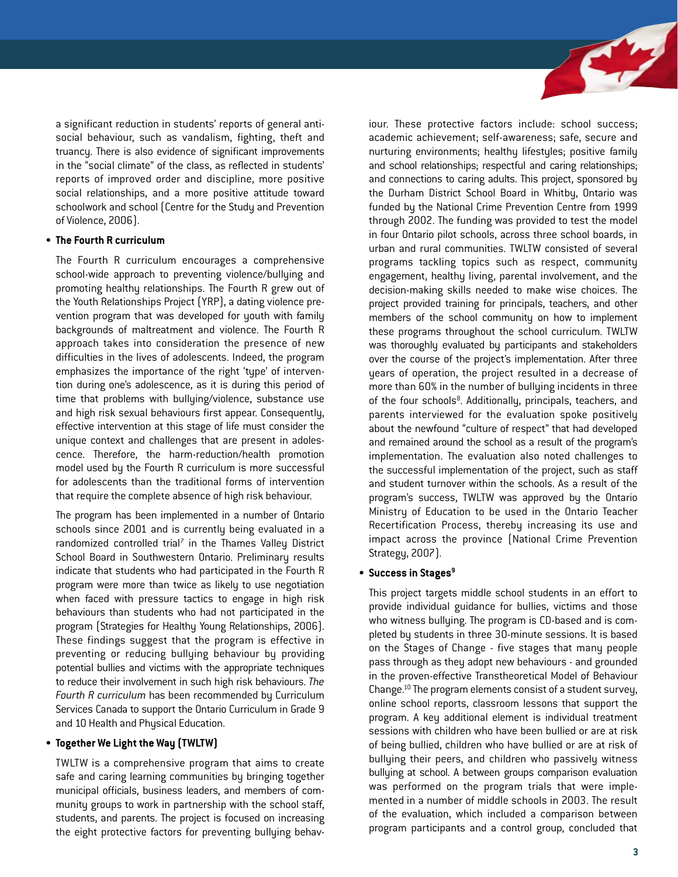a significant reduction in students' reports of general antisocial behaviour, such as vandalism, fighting, theft and truancy. There is also evidence of significant improvements in the "social climate" of the class, as reflected in students' reports of improved order and discipline, more positive social relationships, and a more positive attitude toward schoolwork and school (Centre for the Study and Prevention of Violence, 2006).

#### • **The Fourth R curriculum**

The Fourth R curriculum encourages a comprehensive school-wide approach to preventing violence/bullying and promoting healthy relationships. The Fourth R grew out of the Youth Relationships Project (YRP), a dating violence prevention program that was developed for youth with family backgrounds of maltreatment and violence. The Fourth R approach takes into consideration the presence of new difficulties in the lives of adolescents. Indeed, the program emphasizes the importance of the right 'type' of intervention during one's adolescence, as it is during this period of time that problems with bullying/violence, substance use and high risk sexual behaviours first appear. Consequently, effective intervention at this stage of life must consider the unique context and challenges that are present in adolescence. Therefore, the harm-reduction/health promotion model used by the Fourth R curriculum is more successful for adolescents than the traditional forms of intervention that require the complete absence of high risk behaviour.

The program has been implemented in a number of Ontario schools since 2001 and is currently being evaluated in a randomized controlled trial<sup> $7$ </sup> in the Thames Valley District School Board in Southwestern Ontario. Preliminary results indicate that students who had participated in the Fourth R program were more than twice as likely to use negotiation when faced with pressure tactics to engage in high risk behaviours than students who had not participated in the program (Strategies for Healthy Young Relationships, 2006). These findings suggest that the program is effective in preventing or reducing bullying behaviour by providing potential bullies and victims with the appropriate techniques to reduce their involvement in such high risk behaviours. *The Fourth R curriculum* has been recommended by Curriculum Services Canada to support the Ontario Curriculum in Grade 9 and 10 Health and Physical Education.

#### • **Together We Light the Way (TWLTW)**

TWLTW is a comprehensive program that aims to create safe and caring learning communities by bringing together municipal officials, business leaders, and members of community groups to work in partnership with the school staff, students, and parents. The project is focused on increasing the eight protective factors for preventing bullying behaviour. These protective factors include: school success; academic achievement; self-awareness; safe, secure and nurturing environments; healthy lifestyles; positive family and school relationships; respectful and caring relationships; and connections to caring adults. This project, sponsored by the Durham District School Board in Whitby, Ontario was funded by the National Crime Prevention Centre from 1999 through 2002. The funding was provided to test the model in four Ontario pilot schools, across three school boards, in urban and rural communities. TWLTW consisted of several programs tackling topics such as respect, community engagement, healthy living, parental involvement, and the decision-making skills needed to make wise choices. The project provided training for principals, teachers, and other members of the school community on how to implement these programs throughout the school curriculum. TWLTW was thoroughly evaluated by participants and stakeholders over the course of the project's implementation. After three years of operation, the project resulted in a decrease of more than 60% in the number of bullying incidents in three of the four schools<sup>8</sup>. Additionally, principals, teachers, and parents interviewed for the evaluation spoke positively about the newfound "culture of respect" that had developed and remained around the school as a result of the program's implementation. The evaluation also noted challenges to the successful implementation of the project, such as staff and student turnover within the schools. As a result of the program's success, TWLTW was approved by the Ontario Ministry of Education to be used in the Ontario Teacher Recertification Process, thereby increasing its use and impact across the province (National Crime Prevention Strategy, 2007).

#### • **Success in Stages9**

This project targets middle school students in an effort to provide individual guidance for bullies, victims and those who witness bullying. The program is CD-based and is completed by students in three 30-minute sessions. It is based on the Stages of Change - five stages that many people pass through as they adopt new behaviours - and grounded in the proven-effective Transtheoretical Model of Behaviour Change.10 The program elements consist of a student survey, online school reports, classroom lessons that support the program. A key additional element is individual treatment sessions with children who have been bullied or are at risk of being bullied, children who have bullied or are at risk of bullying their peers, and children who passively witness bullying at school. A between groups comparison evaluation was performed on the program trials that were implemented in a number of middle schools in 2003. The result of the evaluation, which included a comparison between program participants and a control group, concluded that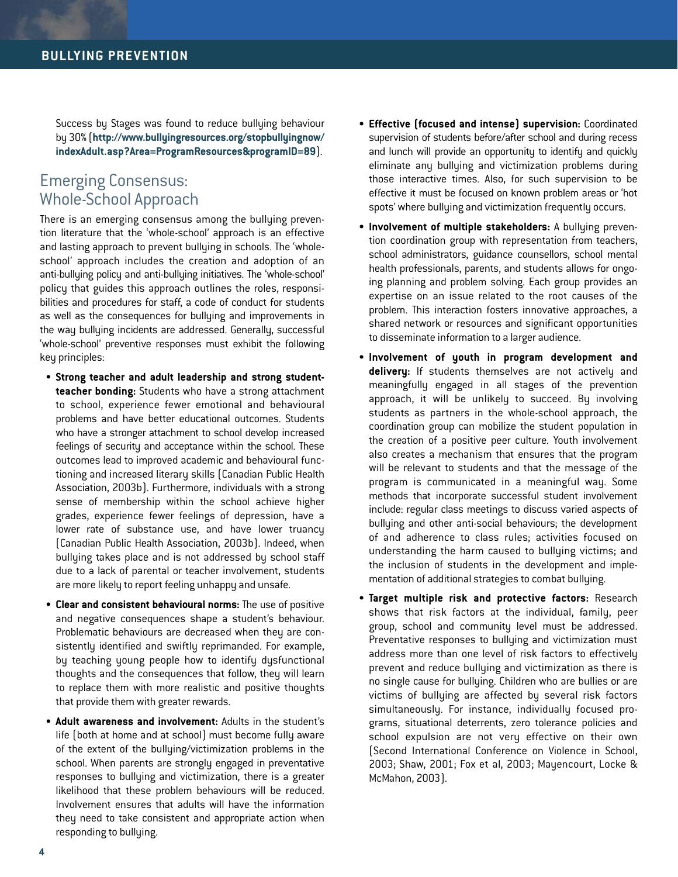Success by Stages was found to reduce bullying behaviour by 30% (**http://www.bullyingresources.org/stopbullyingnow/ indexAdult.asp?Area=ProgramResources&programID=89**).

## Emerging Consensus: Whole-School Approach

There is an emerging consensus among the bullying prevention literature that the 'whole-school' approach is an effective and lasting approach to prevent bullying in schools. The 'wholeschool' approach includes the creation and adoption of an anti-bullying policy and anti-bullying initiatives. The 'whole-school' policy that guides this approach outlines the roles, responsibilities and procedures for staff, a code of conduct for students as well as the consequences for bullying and improvements in the way bullying incidents are addressed. Generally, successful 'whole-school' preventive responses must exhibit the following key principles:

- **Strong teacher and adult leadership and strong studentteacher bonding:** Students who have a strong attachment to school, experience fewer emotional and behavioural problems and have better educational outcomes. Students who have a stronger attachment to school develop increased feelings of security and acceptance within the school. These outcomes lead to improved academic and behavioural functioning and increased literary skills (Canadian Public Health Association, 2003b). Furthermore, individuals with a strong sense of membership within the school achieve higher grades, experience fewer feelings of depression, have a lower rate of substance use, and have lower truancy (Canadian Public Health Association, 2003b). Indeed, when bullying takes place and is not addressed by school staff due to a lack of parental or teacher involvement, students are more likely to report feeling unhappy and unsafe.
- • **Clear and consistent behavioural norms:** The use of positive and negative consequences shape a student's behaviour. Problematic behaviours are decreased when they are consistently identified and swiftly reprimanded. For example, by teaching young people how to identify dysfunctional thoughts and the consequences that follow, they will learn to replace them with more realistic and positive thoughts that provide them with greater rewards.
- • **Adult awareness and involvement:** Adults in the student's life (both at home and at school) must become fully aware of the extent of the bullying/victimization problems in the school. When parents are strongly engaged in preventative responses to bullying and victimization, there is a greater likelihood that these problem behaviours will be reduced. Involvement ensures that adults will have the information they need to take consistent and appropriate action when responding to bullying.
- • **Effective (focused and intense) supervision:** Coordinated supervision of students before/after school and during recess and lunch will provide an opportunity to identify and quickly eliminate any bullying and victimization problems during those interactive times. Also, for such supervision to be effective it must be focused on known problem areas or 'hot spots' where bullying and victimization frequently occurs.
- • **Involvement of multiple stakeholders:** A bullying prevention coordination group with representation from teachers, school administrators, guidance counsellors, school mental health professionals, parents, and students allows for ongoing planning and problem solving. Each group provides an expertise on an issue related to the root causes of the problem. This interaction fosters innovative approaches, a shared network or resources and significant opportunities to disseminate information to a larger audience.
- • **Involvement of youth in program development and delivery:** If students themselves are not actively and meaningfully engaged in all stages of the prevention approach, it will be unlikely to succeed. By involving students as partners in the whole-school approach, the coordination group can mobilize the student population in the creation of a positive peer culture. Youth involvement also creates a mechanism that ensures that the program will be relevant to students and that the message of the program is communicated in a meaningful way. Some methods that incorporate successful student involvement include: regular class meetings to discuss varied aspects of bullying and other anti-social behaviours; the development of and adherence to class rules; activities focused on understanding the harm caused to bullying victims; and the inclusion of students in the development and implementation of additional strategies to combat bullying.
- **Target multiple risk and protective factors: Research** shows that risk factors at the individual, family, peer group, school and community level must be addressed. Preventative responses to bullying and victimization must address more than one level of risk factors to effectively prevent and reduce bullying and victimization as there is no single cause for bullying. Children who are bullies or are victims of bullying are affected by several risk factors simultaneously. For instance, individually focused programs, situational deterrents, zero tolerance policies and school expulsion are not very effective on their own (Second International Conference on Violence in School, 2003; Shaw, 2001; Fox et al, 2003; Mayencourt, Locke & McMahon, 2003).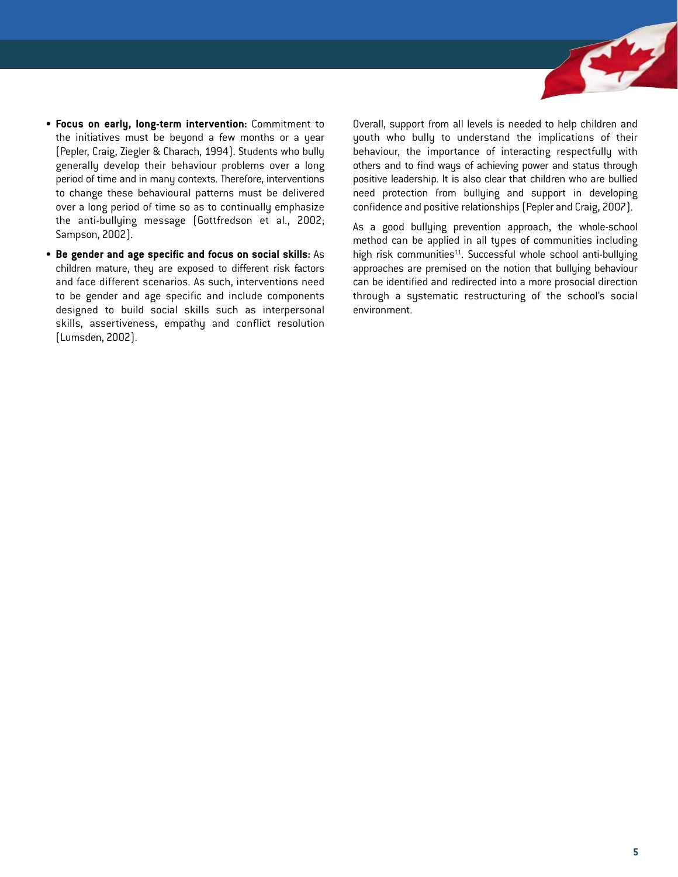

- • **Focus on early, long-term intervention:** Commitment to the initiatives must be beyond a few months or a year (Pepler, Craig, Ziegler & Charach, 1994). Students who bully generally develop their behaviour problems over a long period of time and in many contexts. Therefore, interventions to change these behavioural patterns must be delivered over a long period of time so as to continually emphasize the anti-bullying message (Gottfredson et al., 2002; Sampson, 2002).
- • **Be gender and age specific and focus on social skills:** As children mature, they are exposed to different risk factors and face different scenarios. As such, interventions need to be gender and age specific and include components designed to build social skills such as interpersonal skills, assertiveness, empathy and conflict resolution (Lumsden, 2002).

Overall, support from all levels is needed to help children and youth who bully to understand the implications of their behaviour, the importance of interacting respectfully with others and to find ways of achieving power and status through positive leadership. It is also clear that children who are bullied need protection from bullying and support in developing confidence and positive relationships (Pepler and Craig, 2007).

As a good bullying prevention approach, the whole-school method can be applied in all types of communities including high risk communities<sup>11</sup>. Successful whole school anti-bullying approaches are premised on the notion that bullying behaviour can be identified and redirected into a more prosocial direction through a systematic restructuring of the school's social environment.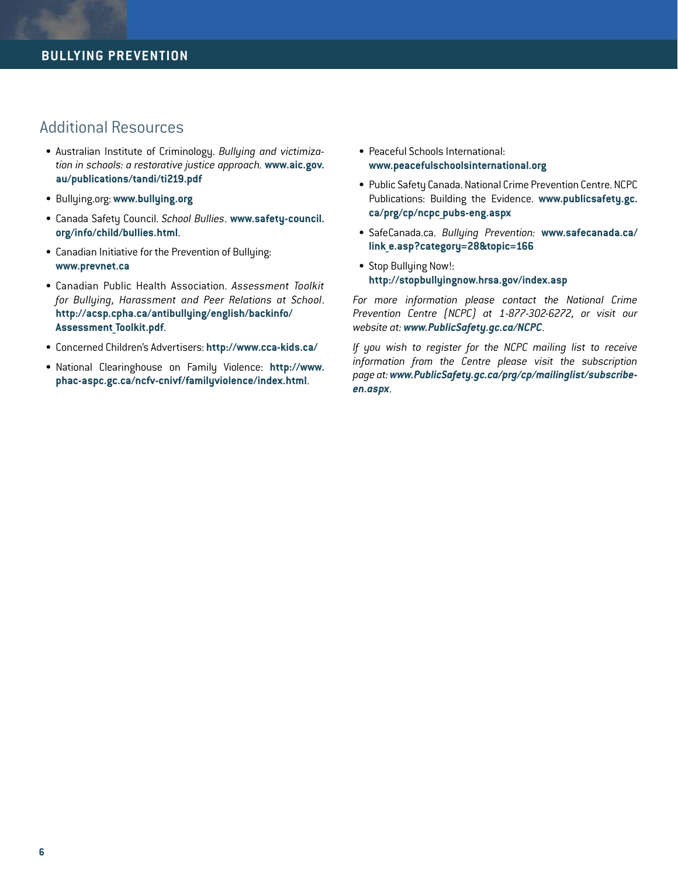### Additional Resources

- • Australian Institute of Criminology. *Bullying and victimization in schools: a restorative justice approach.* **[www.aic.gov.](www.aic.gov.au/publications/tandi/ti219.pdf) [au/publications/tandi/ti219.pdf](www.aic.gov.au/publications/tandi/ti219.pdf)**
- • Bullying.org: **www.bullying.org**
- • Canada Safety Council. *School Bullies*. **[www.safety-council.](http://www.safety-council.org/info/child/bullies.html) [org/info/child/bullies.html](www.safety-council.org/info/child/bullies.html)**.
- Canadian Initiative for the Prevention of Bullying: **www.prevnet.ca**
- • Canadian Public Health Association. *Assessment Toolkit for Bullying, Harassment and Peer Relations at School*. **[http://acsp.cpha.ca/antibullying/english/backinfo/](http://acsp.cpha.ca/antibullying/english/backinfo/Assessment_Toolkit.pdf) [Assessment\\_Toolkit.pdf](http://acsp.cpha.ca/antibullying/english/backinfo/Assessment_Toolkit.pdf)**.
- • Concerned Children's Advertisers: **http://www.cca-kids.ca/**
- • National Clearinghouse on Family Violence: **[http://www.](http://www.phac-aspc.gc.ca/ncfv-cnivf/familyviolence/index.html) [phac-aspc.gc.ca/ncfv-cnivf/familyviolence/index.html](http://www.phac-aspc.gc.ca/ncfv-cnivf/familyviolence/index.html)**.
- Peaceful Schools International: **www.peacefulschoolsinternational.org**
- Public Safety Canada. National Crime Prevention Centre. NCPC Publications: Building the Evidence. **[www.publicsafety.gc.](www.publicsafety.gc.ca/prg/cp/ncpc_pubs-eng.aspx) [ca/prg/cp/ncpc\\_pubs-eng.aspx](www.publicsafety.gc.ca/prg/cp/ncpc_pubs-eng.aspx)**
- • SafeCanada.ca. *Bullying Prevention:* **[www.safecanada.ca/](www.safecanada.ca/link_e.asp?category=28&topic=166) [link\\_e.asp?category=28&topic=166](www.safecanada.ca/link_e.asp?category=28&topic=166)**
- Stop Bullying Now!: **http://stopbullyingnow.hrsa.gov/index.asp**

*For more information please contact the National Crime Prevention Centre (NCPC) at 1-877-302-6272, or visit our website at: www.PublicSafety.gc.ca/NCPC*.

*If you wish to register for the NCPC mailing list to receive information from the Centre please visit the subscription page at:www.PublicSafety.gc.ca/prg/cp/mailinglist/subscribeen.aspx*.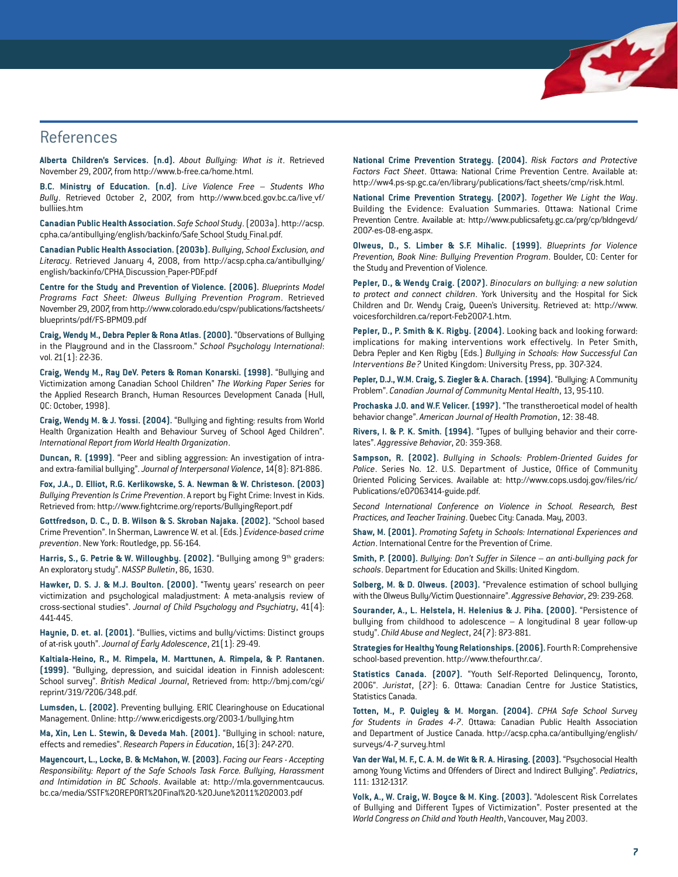### **References**

**Alberta Children's Services. (n.d).** *About Bullying: What is it*. Retrieved November 29, 2007, from http://www.b-free.ca/home.html.

**B.C. Ministry of Education. (n.d).** *Live Violence Free – Students Who Bully*. Retrieved October 2, 2007, from [http://www.bced.gov.bc.ca/live\\_vf/](http://www.bced.gov.bc.ca/live_vf/bulliies.htm) [bulliies.htm](http://www.bced.gov.bc.ca/live_vf/bulliies.htm)

**Canadian Public Health Association.** *Safe School Study*. (2003a). [http://acsp.](http://acsp.cpha.ca/antibullying/english/backinfo/Safe_School_Study_Final.pdf) [cpha.ca/antibullying/english/backinfo/Safe\\_School\\_Study\\_Final.pdf.](http://acsp.cpha.ca/antibullying/english/backinfo/Safe_School_Study_Final.pdf)

**Canadian Public Health Association. (2003b).** *Bullying, School Exclusion, and Literacy*. Retrieved January 4, 2008, from [http://acsp.cpha.ca/antibullying/](http://acsp.cpha.ca/antibullying/english/backinfo/CPHA_Discussion_Paper-PDF.pdf) [english/backinfo/CPHA\\_Discussion\\_Paper-PDF.pdf](http://acsp.cpha.ca/antibullying/english/backinfo/CPHA_Discussion_Paper-PDF.pdf)

**Centre for the Study and Prevention of Violence. (2006).** *Blueprints Model Programs Fact Sheet: Olweus Bullying Prevention Program*. Retrieved November 29, 2007, fro[m http://www.colorado.edu/cspv/publications/factsheets/](http://www.colorado.edu/cspv/publications/factsheets/blueprints/pdf/FS-BPM09.pdf) [blueprints/pdf/FS-BPM09.pdf](http://www.colorado.edu/cspv/publications/factsheets/blueprints/pdf/FS-BPM09.pdf)

**Craig, Wendy M., Debra Pepler & Rona Atlas. (2000).** "Observations of Bullying in the Playground and in the Classroom." *School Psychology International*: vol. 21(1): 22-36.

**Craig, Wendy M., Ray DeV. Peters & Roman Konarski. (1998).** "Bullying and Victimization among Canadian School Children" *The Working Paper Series* for the Applied Research Branch, Human Resources Development Canada (Hull, QC: October, 1998).

**Craig, Wendy M. & J. Yossi. (2004).** "Bullying and fighting: results from World Health Organization Health and Behaviour Survey of School Aged Children". *International Report from World Health Organization*.

**Duncan, R. (1999)**. "Peer and sibling aggression: An investigation of intraand extra-familial bullying". *Journal of Interpersonal Violence*, 14(8): 871-886.

**Fox, J.A., D. Elliot, R.G. Kerlikowske, S. A. Newman & W. Christeson. (2003)**  *Bullying Prevention Is Crime Prevention*. A report by Fight Crime: Invest in Kids. Retrieved from: http://www.fightcrime.org/reports/BullyingReport.pdf

**Gottfredson, D. C., D. B. Wilson & S. Skroban Najaka. (2002).** "School based Crime Prevention". In Sherman, Lawrence W. et al. (Eds.) *Evidence-based crime prevention*. New York: Routledge, pp. 56-164.

Harris, S., G. Petrie & W. Willoughby. [2002]. "Bullying among 9<sup>th</sup> graders: An exploratory study". *NASSP Bulletin*, 86, 1630.

**Hawker, D. S. J. & M.J. Boulton. (2000).** "Twenty years' research on peer victimization and psychological maladjustment: A meta-analysis review of cross-sectional studies". *Journal of Child Psychology and Psychiatry*, 41(4): 441-445.

**Haynie, D. et. al. (2001).** "Bullies, victims and bully/victims: Distinct groups of at-risk youth". *Journal of Early Adolescence*, 21(1): 29-49.

**Kaltiala-Heino, R., M. Rimpela, M. Marttunen, A. Rimpela, & P. Rantanen. (1999).** "Bullying, depression, and suicidal ideation in Finnish adolescent: School survey". *British Medical Journal*, Retrieved from: [http://bmj.com/cgi/](http://bmj.com/cgi/reprint/319/7206/348.pdf) [reprint/319/7206/348.pdf.](http://bmj.com/cgi/reprint/319/7206/348.pdf)

**Lumsden, L. (2002).** Preventing bullying. ERIC Clearinghouse on Educational Management. Online: http://www.ericdigests.org/2003-1/bullying.htm

**Ma, Xin, Len L. Stewin, & Deveda Mah. (2001).** "Bullying in school: nature, effects and remedies". *Research Papers in Education*, 16(3): 247-270.

**Mayencourt, L., Locke, B. & McMahon, W. (2003).** *Facing our Fears - Accepting Responsibility: Report of the Safe Schools Task Force. Bullying, Harassment and Intimidation in BC Schools*. Available at: [http://mla.governmentcaucus.](http://mla.governmentcaucus.bc.ca/media/SSTF%20REPORT%20Final%20-%20June%2011%202003.pdf) [bc.ca/media/SSTF%20REPORT%20Final%20-%20June%2011%202003.pdf](http://mla.governmentcaucus.bc.ca/media/SSTF%20REPORT%20Final%20-%20June%2011%202003.pdf)

**National Crime Prevention Strategy. (2004).** *Risk Factors and Protective Factors Fact Sheet*. Ottawa: National Crime Prevention Centre. Available at: http://ww4.ps-sp.gc.ca/en/library/publications/fact\_sheets/cmp/risk.html.

Kr

**National Crime Prevention Strategy. (2007).** *Together We Light the Way*. Building the Evidence: Evaluation Summaries. Ottawa: National Crime Prevention Centre. Available at: [http://www.publicsafety.gc.ca/prg/cp/bldngevd/](http://www.publicsafety.gc.ca/prg/cp/bldngevd/2007-es-08-eng.aspx) [2007-es-08-eng.aspx.](http://www.publicsafety.gc.ca/prg/cp/bldngevd/2007-es-08-eng.aspx)

**Olweus, D., S. Limber & S.F. Mihalic. (1999).** *Blueprints for Violence Prevention, Book Nine: Bullying Prevention Program*. Boulder, CO: Center for the Study and Prevention of Violence.

**Pepler, D., & Wendy Craig. (2007).** *Binoculars on bullying: a new solution to protect and connect children*. York University and the Hospital for Sick Children and Dr. Wendy Craig, Queen's University. Retrieved at: [http://www.](http://www.voicesforchildren.ca/report-Feb2007-1.htm) [voicesforchildren.ca/report-Feb2007-1.htm.](http://www.voicesforchildren.ca/report-Feb2007-1.htm)

**Pepler, D., P. Smith & K. Rigby. (2004).** Looking back and looking forward: implications for making interventions work effectively. In Peter Smith, Debra Pepler and Ken Rigby (Eds.) *Bullying in Schools: How Successful Can Interventions Be?* United Kingdom: University Press, pp. 307-324.

**Pepler, D.J., W.M. Craig, S. Ziegler & A. Charach. (1994).** "Bullying: A Community Problem". *Canadian Journal of Community Mental Health*, 13, 95-110.

**Prochaska J.O. and W.F. Velicer. (1997).** "The transtheroetical model of health behavior change". *American Journal of Health Promotion*, 12: 38-48.

**Rivers, I. & P. K. Smith. (1994).** "Types of bullying behavior and their correlates". *Aggressive Behavior*, 20: 359-368.

**Sampson, R. (2002).** *Bullying in Schools: Problem-Oriented Guides for Police*. Series No. 12. U.S. Department of Justice, Office of Community Oriented Policing Services. Available at: [http://www.cops.usdoj.gov/files/ric/](http://www.cops.usdoj.gov/files/ric/Publications/e07063414-guide.pdf) [Publications/e07063414-guide.pdf.](http://www.cops.usdoj.gov/files/ric/Publications/e07063414-guide.pdf)

*Second International Conference on Violence in School. Research, Best Practices, and Teacher Training*. Quebec City: Canada. May, 2003.

**Shaw, M. (2001).** *Promoting Safety in Schools: International Experiences and Action*. International Centre for the Prevention of Crime.

**Smith, P. (2000).** *Bullying: Don't Suffer in Silence – an anti-bullying pack for schools*. Department for Education and Skills: United Kingdom.

**Solberg, M. & D. Olweus. (2003).** "Prevalence estimation of school bullying with the Olweus Bully/Victim Questionnaire". *Aggressive Behavior*, 29: 239-268.

**Sourander, A., L. Helstela, H. Helenius & J. Piha. (2000).** "Persistence of bullying from childhood to adolescence – A longitudinal 8 year follow-up study". *Child Abuse and Neglect*, 24(7): 873-881.

**Strategies for Healthy Young Relationships. (2006).** Fourth R: Comprehensive school-based prevention. http://www.thefourthr.ca/.

**Statistics Canada. (2007).** "Youth Self-Reported Delinquency, Toronto, 2006". *Juristat*, (27): 6. Ottawa: Canadian Centre for Justice Statistics, Statistics Canada.

**Totten, M., P. Quigley & M. Morgan. (2004).** *CPHA Safe School Survey for Students in Grades 4-7*. Ottawa: Canadian Public Health Association and Department of Justice Canada[. http://acsp.cpha.ca/antibullying/english/](http://acsp.cpha.ca/antibullying/english/surveys/4-7_survey.html) surveys/4-7 survey.html

**Van der Wal, M. F., C. A. M. de Wit & R. A. Hirasing. (2003).** "Psychosocial Health among Young Victims and Offenders of Direct and Indirect Bullying". *Pediatrics*, 111: 1312-1317.

**Volk, A., W. Craig, W. Boyce & M. King. (2003).** "Adolescent Risk Correlates of Bullying and Different Types of Victimization". Poster presented at the *World Congress on Child and Youth Health*, Vancouver, May 2003.